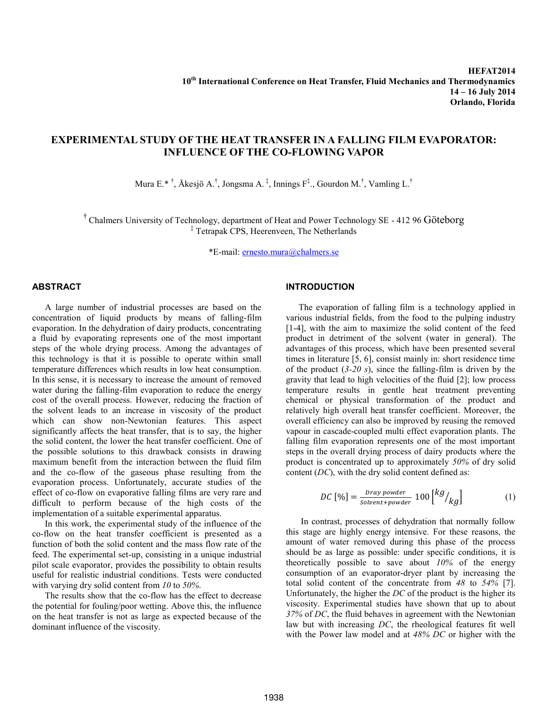# **EXPERIMENTAL STUDY OF THE HEAT TRANSFER IN A FALLING FILM EVAPORATOR: INFLUENCE OF THE CO-FLOWING VAPOR**

Mura E. $*$ <sup>†</sup>, Åkesjö A.<sup>†</sup>, Jongsma A.<sup>‡</sup>, Innings F<sup>‡</sup>., Gourdon M.<sup>†</sup>, Vamling L.<sup>†</sup>

† Chalmers University of Technology, department of Heat and Power Technology SE - 412 96 Göteborg ‡ Tetrapak CPS, Heerenveen, The Netherlands

\*E-mail[: ernesto.mura@chalmers.se](mailto:ernesto.mura@chalmers.se)

### **ABSTRACT**

A large number of industrial processes are based on the concentration of liquid products by means of falling-film evaporation. In the dehydration of dairy products, concentrating a fluid by evaporating represents one of the most important steps of the whole drying process. Among the advantages of this technology is that it is possible to operate within small temperature differences which results in low heat consumption. In this sense, it is necessary to increase the amount of removed water during the falling-film evaporation to reduce the energy cost of the overall process. However, reducing the fraction of the solvent leads to an increase in viscosity of the product which can show non-Newtonian features. This aspect significantly affects the heat transfer, that is to say, the higher the solid content, the lower the heat transfer coefficient. One of the possible solutions to this drawback consists in drawing maximum benefit from the interaction between the fluid film and the co-flow of the gaseous phase resulting from the evaporation process. Unfortunately, accurate studies of the effect of co-flow on evaporative falling films are very rare and difficult to perform because of the high costs of the implementation of a suitable experimental apparatus.

In this work, the experimental study of the influence of the co-flow on the heat transfer coefficient is presented as a function of both the solid content and the mass flow rate of the feed. The experimental set-up, consisting in a unique industrial pilot scale evaporator, provides the possibility to obtain results useful for realistic industrial conditions. Tests were conducted with varying dry solid content from *10* to *50%*.

The results show that the co-flow has the effect to decrease the potential for fouling/poor wetting. Above this, the influence on the heat transfer is not as large as expected because of the dominant influence of the viscosity.

# **INTRODUCTION**

The evaporation of falling film is a technology applied in various industrial fields, from the food to the pulping industry [1-4], with the aim to maximize the solid content of the feed product in detriment of the solvent (water in general). The advantages of this process, which have been presented several times in literature [5, 6], consist mainly in: short residence time of the product (*3-20 s*), since the falling-film is driven by the gravity that lead to high velocities of the fluid [2]; low process temperature results in gentle heat treatment preventing chemical or physical transformation of the product and relatively high overall heat transfer coefficient. Moreover, the overall efficiency can also be improved by reusing the removed vapour in cascade-coupled multi effect evaporation plants. The falling film evaporation represents one of the most important steps in the overall drying process of dairy products where the product is concentrated up to approximately *50%* of dry solid content (*DC*), with the dry solid content defined as:

$$
DC [\%] = \frac{bray\ power}{solvent + powder} 100 \begin{bmatrix} kg/ \\ kg \end{bmatrix}
$$
 (1)

In contrast, processes of dehydration that normally follow this stage are highly energy intensive. For these reasons, the amount of water removed during this phase of the process should be as large as possible: under specific conditions, it is theoretically possible to save about *10%* of the energy consumption of an evaporator-dryer plant by increasing the total solid content of the concentrate from *48* to *54%* [7]. Unfortunately, the higher the *DC* of the product is the higher its viscosity. Experimental studies have shown that up to about *37%* of *DC*, the fluid behaves in agreement with the Newtonian law but with increasing *DC*, the rheological features fit well with the Power law model and at *48% DC* or higher with the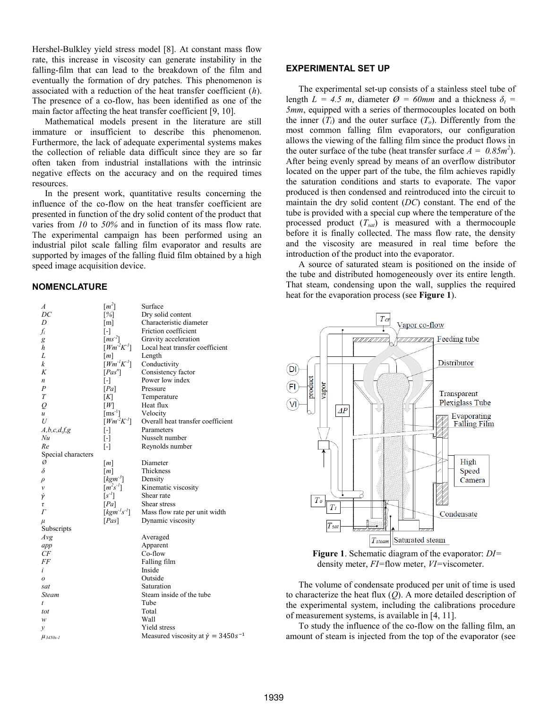Hershel-Bulkley yield stress model [8]. At constant mass flow rate, this increase in viscosity can generate instability in the falling-film that can lead to the breakdown of the film and eventually the formation of dry patches. This phenomenon is associated with a reduction of the heat transfer coefficient (*h*). The presence of a co-flow, has been identified as one of the main factor affecting the heat transfer coefficient [9, 10].

Mathematical models present in the literature are still immature or insufficient to describe this phenomenon. Furthermore, the lack of adequate experimental systems makes the collection of reliable data difficult since they are so far often taken from industrial installations with the intrinsic negative effects on the accuracy and on the required times resources.

In the present work, quantitative results concerning the influence of the co-flow on the heat transfer coefficient are presented in function of the dry solid content of the product that varies from *10* to *50%* and in function of its mass flow rate. The experimental campaign has been performed using an industrial pilot scale falling film evaporator and results are supported by images of the falling fluid film obtained by a high speed image acquisition device.

### **NOMENCLATURE**

| $\boldsymbol{A}$   | $[m^2]$                             | Surface                                           |
|--------------------|-------------------------------------|---------------------------------------------------|
| DC                 | $[\%]$                              | Dry solid content                                 |
| D                  | [m]                                 | Characteristic diameter                           |
| $f_i$              | $[\cdot]$                           | Friction coefficient                              |
| g                  | $\left[ms^{-2}\right]$              | Gravity acceleration                              |
| h                  | $[ W m^2 K^1 ]$                     | Local heat transfer coefficient                   |
| L                  | [m]                                 | Length                                            |
| k                  | $[ Wm^{-1}K^{-1}]$                  | Conductivity                                      |
| K                  | [Pas <sup>n</sup> ]                 | Consistency factor                                |
| n                  | $[\cdot]$                           | Power low index                                   |
| P                  | [Pa]                                | Pressure                                          |
| $\overline{T}$     | [K]                                 | Temperature                                       |
| Q                  | ſМ                                  | Heat flux                                         |
| $\boldsymbol{u}$   | $\left[{\rm ms}^{\text{-1}}\right]$ | Velocity                                          |
| U                  | $[Wm^2K^1]$                         | Overall heat transfer coefficient                 |
| A, b, c, d, f, g   | $[\cdot]$                           | Parameters                                        |
| Nu                 | $[\cdot]$                           | Nusselt number                                    |
| Re                 | $[\cdot]$                           | Reynolds number                                   |
| Special characters |                                     |                                                   |
| Ø                  | $\lfloor m \rfloor$                 | Diameter                                          |
| δ                  | $\lfloor m \rfloor$                 | Thickness                                         |
| ρ                  | $[kgm-3]$                           | Density                                           |
| $\mathcal V$       | $[m^2s^{-1}]$                       | Kinematic viscosity                               |
| Ÿ                  | $\left[ s^{-1} \right]$             | Shear rate                                        |
| τ                  | [Pa]                                | Shear stress                                      |
| $\Gamma$           | $[kgm^{-1}s^{-1}]$                  | Mass flow rate per unit width                     |
| $\mu$              | [Pas]                               | Dynamic viscosity                                 |
| Subscripts         |                                     |                                                   |
| Avg                |                                     | Averaged                                          |
| app                |                                     | Apparent                                          |
| CF                 |                                     | Co-flow                                           |
| FF                 |                                     | Falling film                                      |
| i                  |                                     | Inside                                            |
| $\boldsymbol{o}$   |                                     | Outside                                           |
| sat                |                                     | Saturation                                        |
| Steam              |                                     | Steam inside of the tube                          |
| t                  |                                     | Tube                                              |
| tot                |                                     | Total                                             |
| w                  |                                     | Wall                                              |
| y                  |                                     | Yield stress                                      |
| $\mu_{3450s-I}$    |                                     | Measured viscosity at $\dot{\gamma} = 3450s^{-1}$ |
|                    |                                     |                                                   |

## **EXPERIMENTAL SET UP**

The experimental set-up consists of a stainless steel tube of length  $L = 4.5$  *m*, diameter  $\varnothing = 60$ *mm* and a thickness  $\delta_t =$ *5mm*, equipped with a series of thermocouples located on both the inner  $(T_i)$  and the outer surface  $(T_o)$ . Differently from the most common falling film evaporators, our configuration allows the viewing of the falling film since the product flows in the outer surface of the tube (heat transfer surface  $A = 0.85m^2$ ). After being evenly spread by means of an overflow distributor located on the upper part of the tube, the film achieves rapidly the saturation conditions and starts to evaporate. The vapor produced is then condensed and reintroduced into the circuit to maintain the dry solid content (*DC*) constant. The end of the tube is provided with a special cup where the temperature of the processed product (*Tsat*) is measured with a thermocouple before it is finally collected. The mass flow rate, the density and the viscosity are measured in real time before the introduction of the product into the evaporator.

A source of saturated steam is positioned on the inside of the tube and distributed homogeneously over its entire length. That steam, condensing upon the wall, supplies the required heat for the evaporation process (see **Figure 1**).



**Figure 1**. Schematic diagram of the evaporator: *DI=* density meter, *FI=*flow meter, *VI=*viscometer.

The volume of condensate produced per unit of time is used to characterize the heat flux (*Q*). A more detailed description of the experimental system, including the calibrations procedure of measurement systems, is available in [4, 11].

To study the influence of the co-flow on the falling film, an amount of steam is injected from the top of the evaporator (see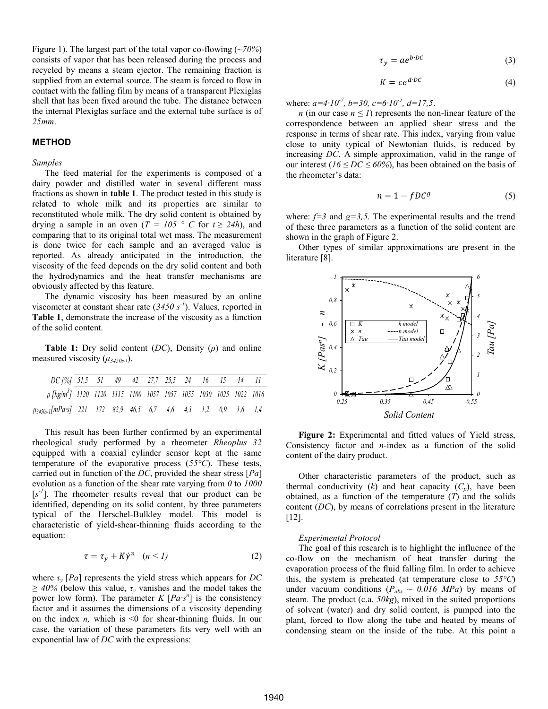Figure 1). The largest part of the total vapor co-flowing (~*70%*) consists of vapor that has been released during the process and recycled by means a steam ejector. The remaining fraction is supplied from an external source. The steam is forced to flow in contact with the falling film by means of a transparent Plexiglas shell that has been fixed around the tube. The distance between the internal Plexiglas surface and the external tube surface is of *25mm*.

## **METHOD**

#### *Samples*

The feed material for the experiments is composed of a dairy powder and distilled water in several different mass fractions as shown in **table 1**. The product tested in this study is related to whole milk and its properties are similar to reconstituted whole milk. The dry solid content is obtained by drying a sample in an oven ( $T = 105$  ° C for  $t \ge 24h$ ), and comparing that to its original total wet mass. The measurement is done twice for each sample and an averaged value is reported. As already anticipated in the introduction, the viscosity of the feed depends on the dry solid content and both the hydrodynamics and the heat transfer mechanisms are obviously affected by this feature.

The dynamic viscosity has been measured by an online viscometer at constant shear rate (*3450 s-1* ). Values, reported in **Table 1**, demonstrate the increase of the viscosity as a function of the solid content.

**Table 1:** Dry solid content (*DC*), Density (*ρ*) and online measured viscosity (*μ3450s-1*).

| DC [%] 51,5 51 49 42 27,7 25,5 24 16 15 14 11                                 |  |  |  |  |  |  |
|-------------------------------------------------------------------------------|--|--|--|--|--|--|
| p [kg/m <sup>3</sup> ] 1120 1120 1115 1100 1057 1057 1055 1030 1025 1022 1016 |  |  |  |  |  |  |
|                                                                               |  |  |  |  |  |  |
| $\mu_{3450s-l}[mPa\cdot s]$ 221 172 82,9 46,5 6,7 4,6 4,3 1,2 0,9 1,6 1,4     |  |  |  |  |  |  |

This result has been further confirmed by an experimental rheological study performed by a rheometer *Rheoplus 32* equipped with a coaxial cylinder sensor kept at the same temperature of the evaporative process (*55°C*). These tests, carried out in function of the *DC*, provided the shear stress [*Pa*] evolution as a function of the shear rate varying from *0* to *1000*  $[s<sup>-1</sup>]$ . The rheometer results reveal that our product can be identified, depending on its solid content, by three parameters typical of the Herschel-Bulkley model. This model is characteristic of yield-shear-thinning fluids according to the equation:

$$
\tau = \tau_{\nu} + K\dot{\gamma}^{n} \quad (n < 1) \tag{2}
$$

where  $\tau$ <sup>*y*</sup> [*Pa*] represents the yield stress which appears for *DC ≥ 40%* (below this value, *τ<sup>y</sup>* vanishes and the model takes the power low form). The parameter  $K [Pa·s<sup>n</sup>]$  is the consistency factor and it assumes the dimensions of a viscosity depending on the index *n*, which is  $\leq 0$  for shear-thinning fluids. In our case, the variation of these parameters fits very well with an exponential law of *DC* with the expressions:

$$
\tau_{\nu} = a e^{b \cdot DC} \tag{3}
$$

$$
K = ce^{d \cdot DC} \tag{4}
$$

where: *a=4∙10-7 , b=30, c=6∙10-5 , d=17,5*.

*n* (in our case  $n \leq 1$ ) represents the non-linear feature of the correspondence between an applied shear stress and the response in terms of shear rate. This index, varying from value close to unity typical of Newtonian fluids, is reduced by increasing *DC*. A simple approximation, valid in the range of our interest ( $16 \leq DC \leq 60\%$ ), has been obtained on the basis of the rheometer's data:

$$
n = 1 - fDC^g \tag{5}
$$

where:  $f=3$  and  $g=3,5$ . The experimental results and the trend of these three parameters as a function of the solid content are shown in the graph of Figure 2.

Other types of similar approximations are present in the literature [8].



**Figure 2:** Experimental and fitted values of Yield stress, Consistency factor and *n*-index as a function of the solid content of the dairy product.

Other characteristic parameters of the product, such as thermal conductivity  $(k)$  and heat capacity  $(C_p)$ , have been obtained, as a function of the temperature (*T*) and the solids content (*DC*), by means of correlations present in the literature [12].

#### *Experimental Protocol*

The goal of this research is to highlight the influence of the co-flow on the mechanism of heat transfer during the evaporation process of the fluid falling film. In order to achieve this, the system is preheated (at temperature close to *55°C*) under vacuum conditions ( $P_{abs} \sim 0.016 \, MPa$ ) by means of steam. The product (c.a. *50kg*), mixed in the suited proportions of solvent (water) and dry solid content, is pumped into the plant, forced to flow along the tube and heated by means of condensing steam on the inside of the tube. At this point a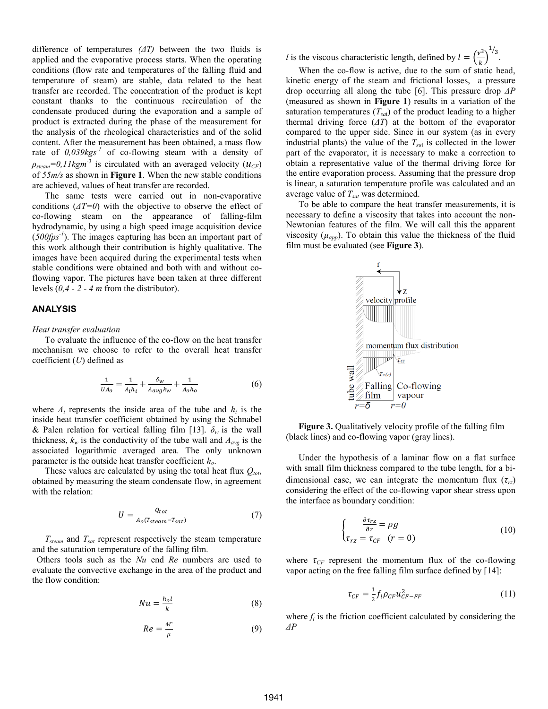difference of temperatures *(ΔT)* between the two fluids is applied and the evaporative process starts. When the operating conditions (flow rate and temperatures of the falling fluid and temperature of steam) are stable, data related to the heat transfer are recorded. The concentration of the product is kept constant thanks to the continuous recirculation of the condensate produced during the evaporation and a sample of product is extracted during the phase of the measurement for the analysis of the rheological characteristics and of the solid content. After the measurement has been obtained, a mass flow rate of  $0.039kgs^{-1}$  of co-flowing steam with a density of  $\rho_{\text{stream}} = 0.11 \text{kgm}^{-3}$  is circulated with an averaged velocity ( $u_{\text{CF}}$ ) of *55m/s* as shown in **Figure 1**. When the new stable conditions are achieved, values of heat transfer are recorded.

The same tests were carried out in non-evaporative conditions (*ΔT=0*) with the objective to observe the effect of co-flowing steam on the appearance of falling-film hydrodynamic, by using a high speed image acquisition device (*500fps -1* ). The images capturing has been an important part of this work although their contribution is highly qualitative. The images have been acquired during the experimental tests when stable conditions were obtained and both with and without coflowing vapor. The pictures have been taken at three different levels (*0,4 - 2 - 4 m* from the distributor).

#### **ANALYSIS**

### *Heat transfer evaluation*

To evaluate the influence of the co-flow on the heat transfer mechanism we choose to refer to the overall heat transfer coefficient (*U*) defined as

$$
\frac{1}{U A_0} = \frac{1}{A_i h_i} + \frac{\delta_W}{A_{avg} k_W} + \frac{1}{A_0 h_0} \tag{6}
$$

where  $A_i$  represents the inside area of the tube and  $h_i$  is the inside heat transfer coefficient obtained by using the Schnabel & Palen relation for vertical falling film [13].  $\delta_w$  is the wall thickness,  $k_w$  is the conductivity of the tube wall and  $A_{avg}$  is the associated logarithmic averaged area. The only unknown parameter is the outside heat transfer coefficient *ho*.

These values are calculated by using the total heat flux *Qtot*, obtained by measuring the steam condensate flow, in agreement with the relation:

$$
U = \frac{Q_{tot}}{A_0 (T_{steam} - T_{sat})}
$$
 (7)

*Tsteam* and *Tsat* represent respectively the steam temperature and the saturation temperature of the falling film.

 Others tools such as the *Nu* end *Re* numbers are used to evaluate the convective exchange in the area of the product and the flow condition:

$$
Nu = \frac{h_o l}{k} \tag{8}
$$

$$
Re = \frac{4r}{\mu} \tag{9}
$$

*l* is the viscous characteristic length, defined by  $l = \left(\frac{v^2}{l}\right)^2$  $\frac{\epsilon}{k}$  $\frac{1}{3}$ .

When the co-flow is active, due to the sum of static head, kinetic energy of the steam and frictional losses, a pressure drop occurring all along the tube [6]. This pressure drop *ΔP* (measured as shown in **Figure 1**) results in a variation of the saturation temperatures  $(T_{sat})$  of the product leading to a higher thermal driving force (*ΔT*) at the bottom of the evaporator compared to the upper side. Since in our system (as in every industrial plants) the value of the *Tsa*<sup>t</sup> is collected in the lower part of the evaporator, it is necessary to make a correction to obtain a representative value of the thermal driving force for the entire evaporation process. Assuming that the pressure drop is linear, a saturation temperature profile was calculated and an average value of *Tsat* was determined.

To be able to compare the heat transfer measurements, it is necessary to define a viscosity that takes into account the non-Newtonian features of the film. We will call this the apparent viscosity  $(\mu_{app})$ . To obtain this value the thickness of the fluid film must be evaluated (see **Figure 3**).



**Figure 3.** Qualitatively velocity profile of the falling film (black lines) and co-flowing vapor (gray lines).

Under the hypothesis of a laminar flow on a flat surface with small film thickness compared to the tube length, for a bidimensional case, we can integrate the momentum flux  $(\tau_{rz})$ considering the effect of the co-flowing vapor shear stress upon the interface as boundary condition:

$$
\begin{cases} \frac{\partial \tau_{rz}}{\partial r} = \rho g\\ \tau_{rz} = \tau_{CF} \quad (r = 0) \end{cases}
$$
 (10)

where  $\tau_{CF}$  represent the momentum flux of the co-flowing vapor acting on the free falling film surface defined by [14]:

$$
\tau_{CF} = \frac{1}{2} f_i \rho_{CF} u_{CF-FF}^2 \tag{11}
$$

where  $f_i$  is the friction coefficient calculated by considering the *ΔP*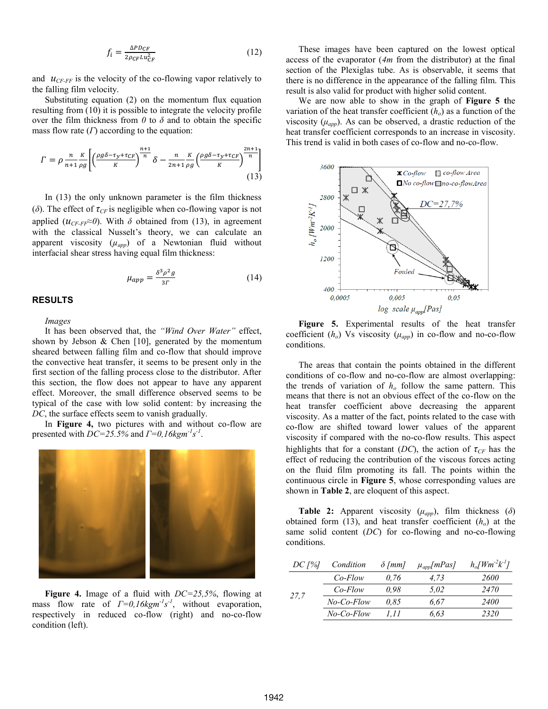$$
f_i = \frac{\Delta P D_{CF}}{2\rho_{CF} L u_{CF}^2}
$$
 (12)

and  $u_{CF-FF}$  is the velocity of the co-flowing vapor relatively to the falling film velocity.

Substituting equation (2) on the momentum flux equation resulting from (10) it is possible to integrate the velocity profile over the film thickness from  $\theta$  to  $\delta$  and to obtain the specific mass flow rate (*Γ*) according to the equation:

$$
\Gamma = \rho \frac{n}{n+1} \frac{K}{\rho g} \left[ \left( \frac{\rho g \delta - \tau_y + \tau_{CF}}{K} \right)^{\frac{n+1}{n}} \delta - \frac{n}{2n+1} \frac{K}{\rho g} \left( \frac{\rho g \delta - \tau_y + \tau_{CF}}{K} \right)^{\frac{2n+1}{n}} \right] \tag{13}
$$

In (13) the only unknown parameter is the film thickness (*δ*). The effect of *τCF* is negligible when co-flowing vapor is not applied  $(u_{CF-FF} \approx 0)$ . With  $\delta$  obtained from (13), in agreement with the classical Nusselt's theory, we can calculate an apparent viscosity (*µapp*) of a Newtonian fluid without interfacial shear stress having equal film thickness:

$$
\mu_{app} = \frac{\delta^3 \rho^2 g}{3\Gamma} \tag{14}
$$

# **RESULTS**

*Images*

It has been observed that, the *"Wind Over Water"* effect, shown by Jebson  $\&$  Chen [10], generated by the momentum sheared between falling film and co-flow that should improve the convective heat transfer, it seems to be present only in the first section of the falling process close to the distributor. After this section, the flow does not appear to have any apparent effect. Moreover, the small difference observed seems to be typical of the case with low solid content: by increasing the *DC*, the surface effects seem to vanish gradually.

In **Figure 4,** two pictures with and without co-flow are presented with  $DC=25.5\%$  and  $\Gamma=0.16$  kgm<sup>-1</sup>s<sup>-1</sup>.



**Figure 4.** Image of a fluid with *DC=25,5%*, flowing at mass flow rate of  $\Gamma = 0.16$  kgm<sup>-1</sup>s<sup>-1</sup>, without evaporation, respectively in reduced co-flow (right) and no-co-flow condition (left).

These images have been captured on the lowest optical access of the evaporator (*4m* from the distributor) at the final section of the Plexiglas tube. As is observable, it seems that there is no difference in the appearance of the falling film. This result is also valid for product with higher solid content.

We are now able to show in the graph of **Figure 5 t**he variation of the heat transfer coefficient (*ho*) as a function of the viscosity  $(\mu_{app})$ . As can be observed, a drastic reduction of the heat transfer coefficient corresponds to an increase in viscosity. This trend is valid in both cases of co-flow and no-co-flow.



**Figure 5.** Experimental results of the heat transfer coefficient  $(h_o)$  Vs viscosity  $(\mu_{app})$  in co-flow and no-co-flow conditions.

The areas that contain the points obtained in the different conditions of co-flow and no-co-flow are almost overlapping: the trends of variation of  $h<sub>o</sub>$  follow the same pattern. This means that there is not an obvious effect of the co-flow on the heat transfer coefficient above decreasing the apparent viscosity. As a matter of the fact, points related to the case with co-flow are shifted toward lower values of the apparent viscosity if compared with the no-co-flow results. This aspect highlights that for a constant (*DC*), the action of  $\tau_{CF}$  has the effect of reducing the contribution of the viscous forces acting on the fluid film promoting its fall. The points within the continuous circle in **Figure 5**, whose corresponding values are shown in **Table 2**, are eloquent of this aspect.

**Table 2:** Apparent viscosity (*μapp*), film thickness (*δ*) obtained form (13), and heat transfer coefficient (*ho*) at the same solid content (*DC*) for co-flowing and no-co-flowing conditions.

| $DC$ [%] | Condition  | $\delta$ [mm] | $\mu_{app}[mPas]$ | $h_o$ [Wm <sup>-2</sup> $k^{-1}$ ] |
|----------|------------|---------------|-------------------|------------------------------------|
| 27.7     | $Co$ -Flow | 0.76          | 4.73              | 2600                               |
|          | $Co$ -Flow | 0.98          | 5.02              | 2470                               |
|          | No-Co-Flow | 0.85          | 6.67              | 2400                               |
|          | No-Co-Flow | 1.11          | 6.63              | 2320                               |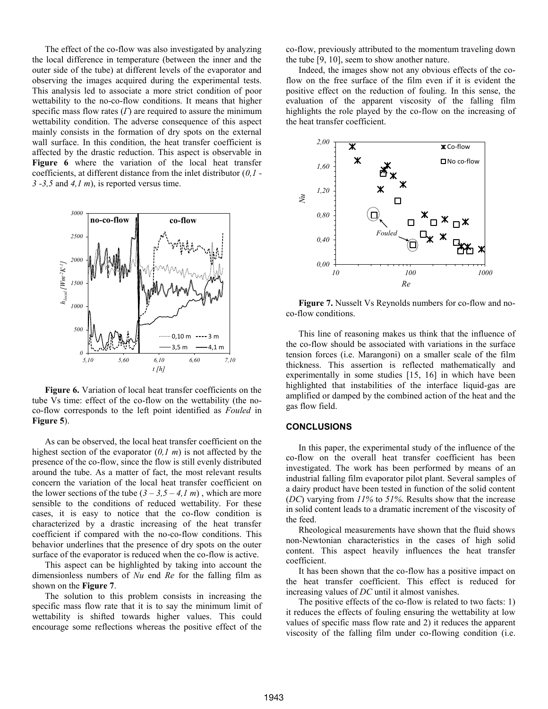The effect of the co-flow was also investigated by analyzing the local difference in temperature (between the inner and the outer side of the tube) at different levels of the evaporator and observing the images acquired during the experimental tests. This analysis led to associate a more strict condition of poor wettability to the no-co-flow conditions. It means that higher specific mass flow rates (*Γ*) are required to assure the minimum wettability condition. The adverse consequence of this aspect mainly consists in the formation of dry spots on the external wall surface. In this condition, the heat transfer coefficient is affected by the drastic reduction. This aspect is observable in **Figure 6** where the variation of the local heat transfer coefficients, at different distance from the inlet distributor (*0,1 - 3 -3,5* and *4,1 m*), is reported versus time.



**Figure 6.** Variation of local heat transfer coefficients on the tube Vs time: effect of the co-flow on the wettability (the noco-flow corresponds to the left point identified as *Fouled* in **Figure 5**).

As can be observed, the local heat transfer coefficient on the highest section of the evaporator (*0,1 m*) is not affected by the presence of the co-flow, since the flow is still evenly distributed around the tube. As a matter of fact, the most relevant results concern the variation of the local heat transfer coefficient on the lower sections of the tube  $(3 – 3,5 – 4,1 m)$ , which are more sensible to the conditions of reduced wettability. For these cases, it is easy to notice that the co-flow condition is characterized by a drastic increasing of the heat transfer coefficient if compared with the no-co-flow conditions. This behavior underlines that the presence of dry spots on the outer surface of the evaporator is reduced when the co-flow is active.

This aspect can be highlighted by taking into account the dimensionless numbers of *Nu* end *Re* for the falling film as shown on the **Figure 7**.

The solution to this problem consists in increasing the specific mass flow rate that it is to say the minimum limit of wettability is shifted towards higher values. This could encourage some reflections whereas the positive effect of the co-flow, previously attributed to the momentum traveling down the tube [9, 10], seem to show another nature.

Indeed, the images show not any obvious effects of the coflow on the free surface of the film even if it is evident the positive effect on the reduction of fouling. In this sense, the evaluation of the apparent viscosity of the falling film highlights the role played by the co-flow on the increasing of the heat transfer coefficient.



**Figure 7.** Nusselt Vs Reynolds numbers for co-flow and noco-flow conditions.

This line of reasoning makes us think that the influence of the co-flow should be associated with variations in the surface tension forces (i.e. Marangoni) on a smaller scale of the film thickness. This assertion is reflected mathematically and experimentally in some studies [15, 16] in which have been highlighted that instabilities of the interface liquid-gas are amplified or damped by the combined action of the heat and the gas flow field.

### **CONCLUSIONS**

In this paper, the experimental study of the influence of the co-flow on the overall heat transfer coefficient has been investigated. The work has been performed by means of an industrial falling film evaporator pilot plant. Several samples of a dairy product have been tested in function of the solid content (*DC*) varying from *11%* to *51%*. Results show that the increase in solid content leads to a dramatic increment of the viscosity of the feed.

Rheological measurements have shown that the fluid shows non-Newtonian characteristics in the cases of high solid content. This aspect heavily influences the heat transfer coefficient.

It has been shown that the co-flow has a positive impact on the heat transfer coefficient. This effect is reduced for increasing values of *DC* until it almost vanishes.

The positive effects of the co-flow is related to two facts: 1) it reduces the effects of fouling ensuring the wettability at low values of specific mass flow rate and 2) it reduces the apparent viscosity of the falling film under co-flowing condition (i.e.